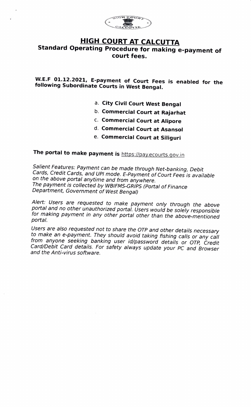

## HIGH COURT AT CALCUTTA Standard Operating Procedure for making e-payment of court fees.

w.E.F O1.12.2021, E-payment of Court Fees is enabled for the following Subordinate Courts in West Bengal.

- a. City Civil Court West Bengal
- b. Commercial Court at Rajarhat
- C. Commercial Court at Alipore
- d. Commercial Court at Asansol
- e. Commercial Court at Siliguri

## The portal to make payment is https://pay.ecourts.gov.in

Salient Features: Payment can be made through Net-banking, Debit Cards, Credit Cards, and UPI mode. E-Payment of Court Fees is available<br>on the above portal anytime and from anywhere.<br>The payment is collected by WBIFMS-GRIPS (Portal of Finance Department, Government of West Bengal)

Alert: Users are requested to make payment only through the above<br>portal and no other unauthorized portal. Users would be solely responsible for making payment in any other portal other than the above-mentioned portal.

Users are also requested not to share the OTP and other details necessary to make an e-payment. They should avoid taking fishing calls or any call from anyone seeking banking user id/password details or OTP, Credit Card/Debit Card details. For safety always update your PC and Browser and the Anti-virus software.